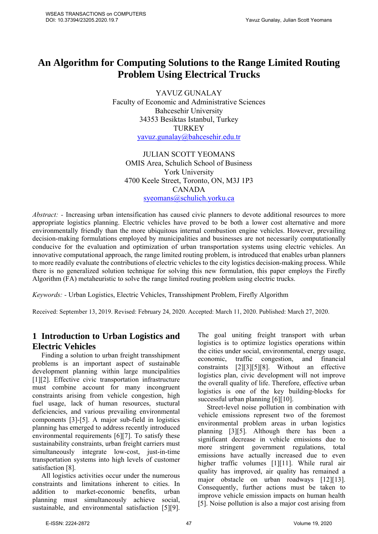# **An Algorithm for Computing Solutions to the Range Limited Routing Problem Using Electrical Trucks**

YAVUZ GUNALAY Faculty of Economic and Administrative Sciences Bahcesehir University 34353 Besiktas Istanbul, Turkey TURKEY yavuz.gunalay@bahcesehir.edu.tr

JULIAN SCOTT YEOMANS OMIS Area, Schulich School of Business York University 4700 Keele Street, Toronto, ON, M3J 1P3 CANADA syeomans@schulich.yorku.ca

*Abstract:* - Increasing urban intensification has caused civic planners to devote additional resources to more appropriate logistics planning. Electric vehicles have proved to be both a lower cost alternative and more environmentally friendly than the more ubiquitous internal combustion engine vehicles. However, prevailing decision-making formulations employed by municipalities and businesses are not necessarily computationally conducive for the evaluation and optimization of urban transportation systems using electric vehicles. An innovative computational approach, the range limited routing problem, is introduced that enables urban planners to more readily evaluate the contributions of electric vehicles to the city logistics decision-making process. While there is no generalized solution technique for solving this new formulation, this paper employs the Firefly Algorithm (FA) metaheuristic to solve the range limited routing problem using electric trucks.

*Keywords: -* Urban Logistics, Electric Vehicles, Transshipment Problem, Firefly Algorithm

Received: September 13, 2019. Revised: February 24, 2020. Accepted: March 11, 2020. Published: March 27, 2020.

## **1 Introduction to Urban Logistics and Electric Vehicles**

Finding a solution to urban freight transshipment problems is an important aspect of sustainable development planning within large muncipalities [1][2]. Effective civic transportation infrastructure must combine account for many incongruent constraints arising from vehicle congestion, high fuel usage, lack of human resources, stuctural deficiencies, and various prevailing environmental components [3]-[5]. A major sub-field in logistics planning has emerged to address recently introduced environmental requirements [6][7]. To satisfy these sustainability constraints, urban freight carriers must simultaneously integrate low-cost, just-in-time transportation systems into high levels of customer satisfaction [8].

All logistics activities occur under the numerous constraints and limitations inherent to cities. In addition to market-economic benefits, urban planning must simultaneously achieve social, sustainable, and environmental satisfaction [5][9].

The goal uniting freight transport with urban logistics is to optimize logistics operations within the cities under social, environmental, energy usage, economic, traffic congestion, and financial constraints [2][3][5][8]. Without an effective logistics plan, civic development will not improve the overall quality of life. Therefore, effective urban logistics is one of the key building-blocks for successful urban planning [6][10].

Street-level noise pollution in combination with vehicle emissions represent two of the foremost environmental problem areas in urban logistics planning [3][5]. Although there has been a significant decrease in vehicle emissions due to more stringent government regulations, total emissions have actually increased due to even higher traffic volumes [1][11]. While rural air quality has improved, air quality has remained a major obstacle on urban roadways [12][13]. Consequently, further actions must be taken to improve vehicle emission impacts on human health [5]. Noise pollution is also a major cost arising from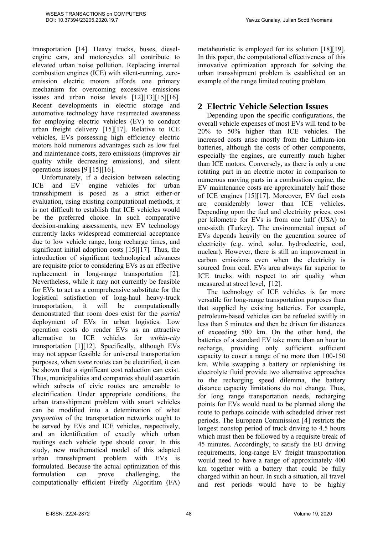Yavuz Gunalay, Julian Scott Yeomans

transportation [14]. Heavy trucks, buses, dieselengine cars, and motorcycles all contribute to elevated urban noise pollution. Replacing internal combustion engines (ICE) with silent-running, zeroemission electric motors affords one primary mechanism for overcoming excessive emissions issues and urban noise levels [12][13][15][16]. Recent developments in electric storage and automotive technology have resurrected awareness for employing electric vehicles (EV) to conduct urban freight delivery [15][17]. Relative to ICE vehicles, EVs possessing high efficiency electric motors hold numerous advantages such as low fuel and maintenance costs, zero emissions (improves air quality while decreasing emissions), and silent operations issues [9][15][16].

Unfortunately, if a decision between selecting ICE and EV engine vehicles for urban transshipment is posed as a strict either-or evaluation, using existing computational methods, it is not difficult to establish that ICE vehicles would be the preferred choice. In such comparative decision-making assessments, new EV technology currently lacks widespread commercial acceptance due to low vehicle range, long recharge times, and significant initial adoption costs [15][17]. Thus, the introduction of significant technological advances are requisite prior to considering EVs as an effective replacement in long-range transportation [2]. Nevertheless, while it may not currently be feasible for EVs to act as a comprehensive substitute for the logistical satisfaction of long-haul heavy-truck transportation, it will be computationally demonstrated that room does exist for the *partial* deployment of EVs in urban logistics. Low operation costs do render EVs as an attractive alternative to ICE vehicles for *within-city* transportation [1][12]. Specifically, although EVs may not appear feasible for universal transportation purposes, when *some* routes can be electrified, it can be shown that a significant cost reduction can exist. Thus, municipalities and companies should ascertain which subsets of civic routes are amenable to electrification. Under appropriate conditions, the urban transshipment problem with smart vehicles can be modified into a detemination of what *proportion* of the transportation networks ought to be served by EVs and ICE vehicles, respectively, and an identification of exactly which urban routings each vehicle type should cover. In this study, new mathematical model of this adapted urban transshipment problem with EVs is formulated. Because the actual optimization of this formulation can prove challenging, the computationally efficient Firefly Algorithm (FA) metaheuristic is employed for its solution [18][19]. In this paper, the computational effectiveness of this innovative optimization approach for solving the urban transshipment problem is established on an example of the range limited routing problem.

#### **2 Electric Vehicle Selection Issues**

Depending upon the specific configurations, the overall vehicle expenses of most EVs will tend to be 20% to 50% higher than ICE vehicles. The increased costs arise mostly from the Lithium-ion batteries, although the costs of other components, especially the engines, are currently much higher than ICE motors. Conversely, as there is only a one rotating part in an electric motor in comparison to numerous moving parts in a combustion engine, the EV maintenance costs are approximately half those of ICE engines [15][17]. Moreover, EV fuel costs are considerably lower than ICE vehicles. Depending upon the fuel and electricity prices, cost per kilometre for EVs is from one half (USA) to one-sixth (Turkey). The environmental impact of EVs depends heavily on the generation source of electricity (e.g. wind, solar, hydroelectric, coal, nuclear). However, there is still an improvement in carbon emissions even when the electricity is sourced from coal. EVs area always far superior to ICE trucks with respect to air quality when measured at street level, [12].

The technology of ICE vehicles is far more versatile for long-range transportation purposes than that supplied by existing batteries. For example, petroleum-based vehicles can be refueled swiftly in less than 5 minutes and then be driven for distances of exceeding 500 km. On the other hand, the batteries of a standard EV take more than an hour to recharge, providing only sufficient sufficient capacity to cover a range of no more than 100-150 km. While swapping a battery or replenishing its electrolyte fluid provide two alternative approaches to the recharging speed dilemma, the battery distance capacity limitations do not change. Thus, for long range transportation needs, recharging points for EVs would need to be planned along the route to perhaps coincide with scheduled driver rest periods. The European Commission [4] restricts the longest nonstop period of truck driving to 4.5 hours which must then be followed by a requisite break of 45 minutes. Accordingly, to satisfy the EU driving requirements, long-range EV freight transportation would need to have a range of approximately 400 km together with a battery that could be fully charged within an hour. In such a situation, all travel and rest periods would have to be highly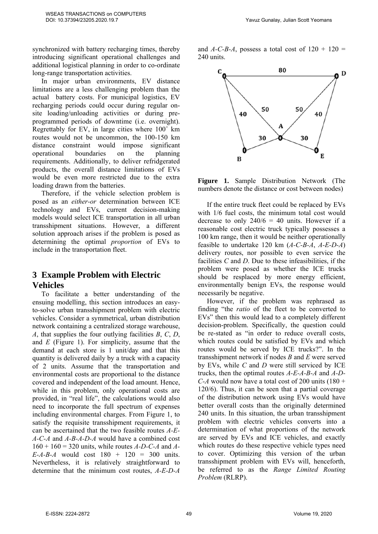synchronized with battery recharging times, thereby introducing significant operational challenges and additional logistical planning in order to co-ordinate long-range transportation activities.

In major urban environments, EV distance limitations are a less challenging problem than the actual battery costs. For municipal logistics, EV recharging periods could occur during regular onsite loading/unloading activities or during preprogrammed periods of downtime (i.e. overnight). Regrettably for EV, in large cities where  $100<sup>+</sup>$  km routes would not be uncommon, the 100-150 km distance constraint would impose significant operational boundaries on the planning requirements. Additionally, to deliver refridgerated products, the overall distance limitations of EVs would be even more restricted due to the extra loading drawn from the batteries.

Therefore, if the vehicle selection problem is posed as an *either-or* determination between ICE technology and EVs, current decision-making models would select ICE transportation in all urban transshipment situations. However, a different solution approach arises if the problem is posed as determining the optimal *proportion* of EVs to include in the transportation fleet.

#### **3 Example Problem with Electric Vehicles**

To facilitate a better understanding of the ensuing modelling, this section introduces an easyto-solve urban transshipment problem with electric vehicles. Consider a symmetrical, urban distribution network containing a centralized storage warehouse, *A*, that supplies the four outlying facilities *B*, *C*, *D*, and *E* (Figure 1). For simplicity, assume that the demand at each store is 1 unit/day and that this quantity is delivered daily by a truck with a capacity of 2 units. Assume that the transportation and environmental costs are proportional to the distance covered and independent of the load amount. Hence, while in this problem, only operational costs are provided, in "real life", the calculations would also need to incorporate the full spectrum of expenses including environmental charges. From Figure 1, to satisfy the requisite transshipment requirements, it can be ascertained that the two feasible routes *A-E-A-C-A* and *A-B-A-D-A* would have a combined cost 160 + 160 = 320 units, while routes *A-D-C-A* and *A-E-A-B-A* would cost 180 + 120 = 300 units. Nevertheless, it is relatively straightforward to determine that the minimum cost routes, *A-E-D-A*

and  $A$ -C-B-A, possess a total cost of  $120 + 120 =$ 240 units.





If the entire truck fleet could be replaced by EVs with 1/6 fuel costs, the minimum total cost would decrease to only  $240/6 = 40$  units. However if a reasonable cost electric truck typically possesses a 100 km range, then it would be neither operationally feasible to undertake 120 km (*A-C-B-A*, *A-E-D-A*) delivery routes, nor possible to even service the facilities *C* and *D*. Due to these infeasibilities, if the problem were posed as whether the ICE trucks should be resplaced by more energy efficient, environmentally benign EVs, the response would necessarily be negative.

However, if the problem was rephrased as finding "the *ratio* of the fleet to be converted to EVs" then this would lead to a completely different decision-problem. Specifically, the question could be re-stated as "in order to reduce overall costs, which routes could be satisfied by EVs and which routes would be served by ICE trucks?". In the transshipment network if nodes *B* and *E* were served by EVs, while *C* and *D* were still serviced by ICE trucks, then the optimal routes *A-E-A-B-A* and *A-D-C-A* would now have a total cost of 200 units  $(180 +$ 120/6). Thus, it can be seen that a partial coverage of the distribution network using EVs would have better overall costs than the originally determined 240 units. In this situation, the urban transshipment problem with electric vehicles converts into a determination of what proportions of the network are served by EVs and ICE vehicles, and exactly which routes do these respective vehicle types need to cover. Optimizing this version of the urban transshipment problem with EVs will, henceforth, be referred to as the *Range Limited Routing Problem* (RLRP).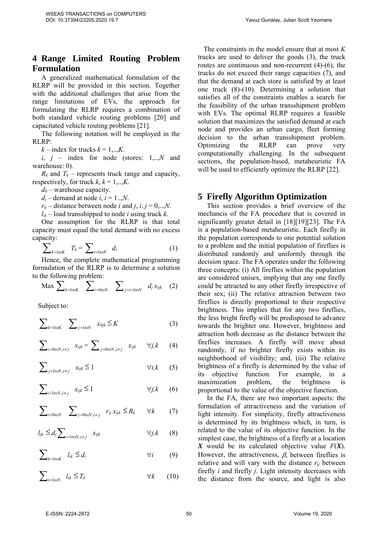## **4 Range Limited Routing Problem Formulation**

A generalized mathematical formulation of the RLRP will be provided in this section. Together with the additional challenges that arise from the range limitations of EVs, the approach for formulating the RLRP requires a combination of both standard vehicle routing problems [20] and capacitated vehicle routing problems [21].

The following notation will be employed in the RLRP:

 $k$  – index for trucks  $k = 1,...,K$ .

 $i, j$  – index for node (stores:  $1,..,N$  and warehouse: 0).

 $R_k$  and  $T_k$  – represents truck range and capacity, respectively, for truck  $k, k = 1, \ldots, K$ .

 $d_0$  – warehouse capacity.

 $d_i$  – demand at node *i*,  $i = 1...N$ .

 $r_{ii}$  – distance between node *i* and *j*, *i*, *j* = 0,...*N*.

 $l_{ik}$  – load transshipped to node *i* using truck *k*.

One assumption for the RLRP is that total capacity must equal the total demand with no excess capacity:

$$
\sum_{k=1\text{to }K} T_k = \sum_{i=1\text{to }N} d_i \tag{1}
$$

Hence, the complete mathematical programming formulation of the RLRP is to determine a solution to the following problem:

$$
\text{Max } \sum\nolimits_{k=1\text{to}K} \quad \sum\nolimits_{i=0\text{to}N} \quad \sum\nolimits_{j=i+1\text{to}N} \quad d_j \, x_{ijk} \quad (2)
$$

Subject to:

$$
\sum\nolimits_{k=1\text{to }K} \quad \sum\nolimits_{j=1\text{to }N} \quad x_{0jk} \leq K \tag{3}
$$

$$
\sum\nolimits_{i=0 \text{to} N, i \neq j} x_{ijk} = \sum\nolimits_{j=0 \text{to} N, i \neq j} x_{ijk} \quad \forall j, k \quad (4)
$$

$$
\sum_{j=1 \text{to} N, i \neq j} x_{ijk} \le 1 \qquad \forall i, k \qquad (5)
$$

$$
\sum_{i=1\text{to}N, i\neq j} x_{ijk} \le 1 \qquad \forall j, k \qquad (6)
$$

$$
\sum\nolimits_{i=0\text{to}N} \quad \sum\nolimits_{j=0\text{to}N,i\neq j} \quad r_{ij}\,x_{ijk} \leq R_k \qquad \forall k \tag{7}
$$

$$
l_{jk} \leq d_j \sum_{i=1 \text{to} N, i \neq j} x_{ijk} \qquad \forall j, k \qquad (8)
$$

$$
\sum\nolimits_{k=1\text{to}K} \quad l_{ik} \leq d_i \qquad \qquad \forall i \qquad (9)
$$

$$
\sum_{i=1\text{to}N} l_{ik} \leq T_k \qquad \forall k \qquad (10)
$$

The constraints in the model ensure that at most *K* trucks are used to deliver the goods (3), the truck routes are continuous and non-recurrent (4)-(6), the trucks do not exceed their range capacities (7), and that the demand at each store is satisfied by at least one truck (8)-(10). Determining a solution that satisfies all of the constraints enables a search for the feasibility of the urban transshipment problem with EVs. The optimal RLRP requires a feasible solution that maximizes the satisfied demand at each node and provides an urban cargo, fleet forming decision to the urban transshipment problem. Optimizing the RLRP can prove very computationally challenging. In the subsequent sections, the population-based, metaheuristic FA will be used to efficiently optimize the RLRP [22].

#### **5 Firefly Algorithm Optimization**

This section provides a brief overview of the mechancis of the FA procedure that is covered in significantly greater detail in [18][19][23]. The FA is a population-based metaheuristic. Each firefly in the population corresponds to one potential solution to a problem and the initial population of fireflies is distributed randomly and uniformly through the decision space. The FA operates under the following three concepts: (i) All fireflies within the population are considered unisex, implying that any one firefly could be attracted to any other firefly irrespective of their sex; (ii) The relative attraction between two fireflies is directly proportional to their respective brightness. This implies that for any two fireflies, the less bright firefly will be predisposed to advance towards the brighter one. However, brightness and attraction both decrease as the distance between the fireflies increases. A firefly will move about randomly, if no brighter firefly exists within its neighborhood of visibility; and, (iii) The relative brightness of a firefly is determined by the value of its objective function. For example, in a maximization problem, the brightness is proportional to the value of the objective function.

In the FA, there are two important aspects: the formulation of attractiveness and the variation of light intensity. For simplicity, firefly attractiveness is determined by its brightness which, in turn, is related to the value of its objective function. In the simplest case, the brightness of a firefly at a location *X* would be its calculated objective value *F*(*X*). However, the attractiveness,  $\beta$ , between fireflies is relative and will vary with the distance *rij* between firefly *i* and firefly *j*. Light intensity decreases with the distance from the source, and light is also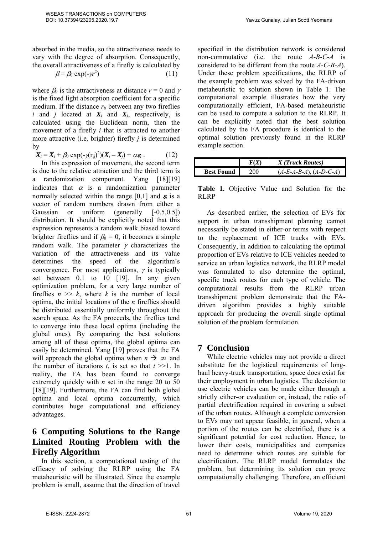absorbed in the media, so the attractiveness needs to vary with the degree of absorption. Consequently, the overall attractiveness of a firefly is calculated by

$$
\beta = \beta_0 \exp(-\gamma r^2) \tag{11}
$$

where  $\beta_0$  is the attractiveness at distance  $r = 0$  and  $\gamma$ is the fixed light absorption coefficient for a specific medium. If the distance  $r_{ij}$  between any two fireflies *i* and *j* located at  $X_i$  and  $X_j$ , respectively, is calculated using the Euclidean norm, then the movement of a firefly *i* that is attracted to another more attractive (i.e. brighter) firefly *j* is determined by

 $X_i = X_i + \beta_0 \exp(-\gamma (r_{ij})^2)(X_i - X_j) + \alpha \varepsilon_i$ . (12)

In this expression of movement, the second term is due to the relative attraction and the third term is a randomization component. Yang [18][19] indicates that  $\alpha$  is a randomization parameter normally selected within the range [0,1] and  $\varepsilon_i$  is a vector of random numbers drawn from either a Gaussian or uniform (generally [-0.5,0.5]) distribution. It should be explicitly noted that this expression represents a random walk biased toward brighter fireflies and if  $\beta_0 = 0$ , it becomes a simple random walk. The parameter  $\gamma$  characterizes the variation of the attractiveness and its value determines the speed of the algorithm's convergence. For most applications,  $\gamma$  is typically set between 0.1 to 10 [19]. In any given optimization problem, for a very large number of fireflies  $n \gg k$ , where k is the number of local optima, the initial locations of the *n* fireflies should be distributed essentially uniformly throughout the search space. As the FA proceeds, the fireflies tend to converge into these local optima (including the global ones). By comparing the best solutions among all of these optima, the global optima can easily be determined. Yang [19] proves that the FA will approach the global optima when  $n \to \infty$  and the number of iterations  $t$ , is set so that  $t \geq 1$ . In reality, the FA has been found to converge extremely quickly with *n* set in the range 20 to 50 [18][19]. Furthermore, the FA can find both global optima and local optima concurrently, which contributes huge computational and efficiency advantages.

## **6 Computing Solutions to the Range Limited Routing Problem with the Firefly Algorithm**

In this section, a computational testing of the efficacy of solving the RLRP using the FA metaheuristic will be illustrated. Since the example problem is small, assume that the direction of travel specified in the distribution network is considered non-commutative (i.e. the route *A-B-C-A* is considered to be different from the route *A-C-B-A*). Under these problem specifications, the RLRP of the example problem was solved by the FA-driven metaheuristic to solution shown in Table 1. The computational example illustrates how the very computationally efficient, FA-based metaheuristic can be used to compute a solution to the RLRP. It can be explicitly noted that the best solution calculated by the FA procedure is identical to the optimal solution previously found in the RLRP example section.

|                   |       | X (Truck Routes)         |
|-------------------|-------|--------------------------|
| <b>Best Found</b> | ב00 - | $(A-E-A-B-A), (A-D-C-A)$ |

**Table 1.** Objective Value and Solution for the RLRP

As described earlier, the selection of EVs for support in urban transshipment planning cannot necessarily be stated in either-or terms with respect to the replacement of ICE trucks with EVs. Consequently, in addition to calculating the optimal proportion of EVs relative to ICE vehicles needed to service an urban logistics network, the RLRP model was formulated to also determine the optimal, specific truck routes for each type of vehicle. The computational results from the RLRP urban transshipment problem demonstrate that the FAdriven algorithm provides a highly suitable approach for producing the overall single optimal solution of the problem formulation.

#### **7 Conclusion**

While electric vehicles may not provide a direct substitute for the logistical requirements of longhaul heavy-truck transportation, space does exist for their employment in urban logistics. The decision to use electric vehicles can be made either through a strictly either-or evaluation or, instead, the ratio of partial electrification required in covering a subset of the urban routes. Although a complete conversion to EVs may not appear feasible, in general, when a portion of the routes can be electrified, there is a significant potential for cost reduction. Hence, to lower their costs, municipalities and companies need to determine which routes are suitable for electrification. The RLRP model formulates the problem, but determining its solution can prove computationally challenging. Therefore, an efficient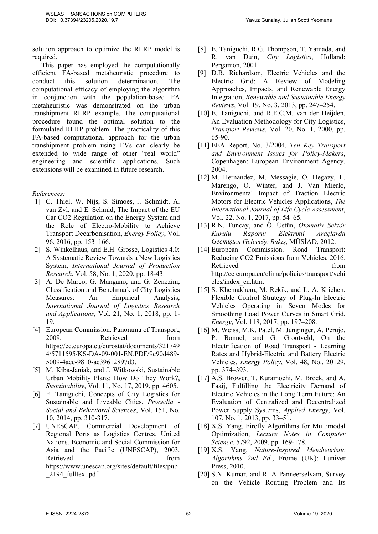solution approach to optimize the RLRP model is required.

This paper has employed the computationally efficient FA-based metaheuristic procedure to conduct this solution determination. The computational efficacy of employing the algorithm in conjunction with the population-based FA metaheuristic was demonstrated on the urban transhipment RLRP example. The computational procedure found the optimal solution to the formulated RLRP problem. The practicality of this FA-based computational approach for the urban transhipment problem using EVs can clearly be extended to wide range of other "real world" engineering and scientific applications. Such extensions will be examined in future research.

#### *References:*

- [1] C. Thiel, W. Nijs, S. Simoes, J. Schmidt, A. van Zyl, and E. Schmid, The Impact of the EU Car CO2 Regulation on the Energy System and the Role of Electro-Mobility to Achieve Transport Decarbonisation, *Energy Policy*, Vol. 96, 2016, pp. 153–166.
- [2] S. Winkelhaus, and E.H. Grosse, Logistics 4.0: A Systematic Review Towards a New Logistics System, *International Journal of Production Research*, Vol. 58, No. 1, 2020, pp. 18-43.
- [3] A. De Marco, G. Mangano, and G. Zenezini, Classification and Benchmark of City Logistics Measures: An Empirical Analysis, *International Journal of Logistics Research and Applications*, Vol. 21, No. 1, 2018, pp. 1- 19.
- [4] European Commission. Panorama of Transport, 2009. Retrieved from https://ec.europa.eu/eurostat/documents/321749 4/5711595/KS-DA-09-001-EN.PDF/9c90d489- 5009-4acc-9810-ae39612897d3.
- [5] M. Kiba-Janiak, and J. Witkowski, Sustainable Urban Mobility Plans: How Do They Work?, *Sustainability*, Vol. 11, No. 17, 2019, pp. 4605.
- [6] E. Taniguchi, Concepts of City Logistics for Sustainable and Liveable Cities, *Procedia - Social and Behavioral Sciences*, Vol. 151, No. 10, 2014, pp. 310-317.
- [7] UNESCAP. Commercial Development of Regional Ports as Logistics Centres. United Nations. Economic and Social Commission for Asia and the Pacific (UNESCAP), 2003. Retrieved from the from https://www.unescap.org/sites/default/files/pub \_2194\_fulltext.pdf.
- [8] E. Taniguchi, R.G. Thompson, T. Yamada, and R. van Duin, *City Logistics*, Holland: Pergamon, 2001.
- [9] D.B. Richardson, Electric Vehicles and the Electric Grid: A Review of Modeling Approaches, Impacts, and Renewable Energy Integration, *Renewable and Sustainable Energy Reviews*, Vol. 19, No. 3, 2013, pp. 247–254.
- [10] E. Taniguchi, and R.E.C.M. van der Heijden, An Evaluation Methodology for City Logistics, *Transport Reviews*, Vol. 20, No. 1, 2000, pp. 65-90.
- [11] EEA Report, No. 3/2004, *Ten Key Transport and Environment Issues for Policy-Makers*, Copenhagen: European Environment Agency, 2004.
- [12] M. Hernandez, M. Messagie, O. Hegazy, L. Marengo, O. Winter, and J. Van Mierlo, Environmental Impact of Traction Electric Motors for Electric Vehicles Applications, *The International Journal of Life Cycle Assessment*, Vol. 22, No. 1, 2017, pp. 54–65.
- [13] R.N. Tuncay, and Ö. Üstün, *Otomativ Sektör Kurulu Raporu: Elektrikli Araçlarda Geçmişten Geleceğe Bakış*, MÜSİAD, 2012.
- [14] European Commission. Road Transport: Reducing CO2 Emissions from Vehicles, 2016. Retrieved from from http://ec.europa.eu/clima/policies/transport/vehi cles/index\_en.htm.
- [15] S. Khemakhem, M. Rekik, and L. A. Krichen, Flexible Control Strategy of Plug-In Electric Vehicles Operating in Seven Modes for Smoothing Load Power Curves in Smart Grid, *Energy*, Vol. 118, 2017, pp. 197–208.
- [16] M. Weiss, M.K. Patel, M. Junginger, A. Perujo, P. Bonnel, and G. Grootveld, On the Electrification of Road Transport - Learning Rates and Hybrid-Electric and Battery Electric Vehicles, *Energy Policy*, Vol. 48, No., 20129, pp. 374–393.
- [17] A.S. Brower, T. Kuramochi, M. Broek, and A. Faaij, Fulfilling the Electricity Demand of Electric Vehicles in the Long Term Future: An Evaluation of Centralized and Decentralized Power Supply Systems, *Applied Energy*, Vol. 107, No. 1, 2013, pp. 33–51.
- [18] X.S. Yang, Firefly Algorithms for Multimodal Optimization, *Lecture Notes in Computer Science*, 5792, 2009, pp. 169-178.
- [19] X.S. Yang, *Nature-Inspired Metaheuristic Algorithms 2nd Ed*., Frome (UK): Luniver Press, 2010.
- [20] S.N. Kumar, and R. A Panneerselvam, Survey on the Vehicle Routing Problem and Its